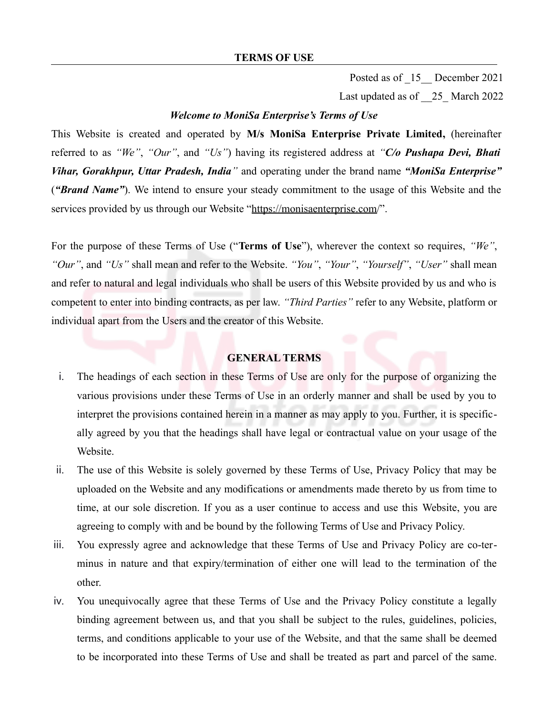Posted as of  $15$  December 2021

Last updated as of  $25$  March 2022

#### *Welcome to MoniSa Enterprise's Terms of Use*

This Website is created and operated by **M/s MoniSa Enterprise Private Limited,** (hereinafter referred to as *"We"*, *"Our"*, and *"Us"*) having its registered address at *"C/o Pushapa Devi, Bhati Vihar, Gorakhpur, Uttar Pradesh, India"* and operating under the brand name *"MoniSa Enterprise"* (*"Brand Name"*). We intend to ensure your steady commitment to the usage of this Website and the services provided by us through our Website "https://monisaenterprise.com/".

For the purpose of these Terms of Use ("**Terms of Use**"), wherever the context so requires, *"We"*, *"Our"*, and *"Us"* shall mean and refer to the Website. *"You"*, *"Your"*, *"Yourself"*, *"User"* shall mean and refer to natural and legal individuals who shall be users of this Website provided by us and who is competent to enter into binding contracts, as per law. *"Third Parties"* refer to any Website, platform or individual apart from the Users and the creator of this Website.

### **GENERAL TERMS**

- i. The headings of each section in these Terms of Use are only for the purpose of organizing the various provisions under these Terms of Use in an orderly manner and shall be used by you to interpret the provisions contained herein in a manner as may apply to you. Further, it is specifically agreed by you that the headings shall have legal or contractual value on your usage of the Website.
- ii. The use of this Website is solely governed by these Terms of Use, Privacy Policy that may be uploaded on the Website and any modifications or amendments made thereto by us from time to time, at our sole discretion. If you as a user continue to access and use this Website, you are agreeing to comply with and be bound by the following Terms of Use and Privacy Policy.
- iii. You expressly agree and acknowledge that these Terms of Use and Privacy Policy are co-terminus in nature and that expiry/termination of either one will lead to the termination of the other.
- iv. You unequivocally agree that these Terms of Use and the Privacy Policy constitute a legally binding agreement between us, and that you shall be subject to the rules, guidelines, policies, terms, and conditions applicable to your use of the Website, and that the same shall be deemed to be incorporated into these Terms of Use and shall be treated as part and parcel of the same.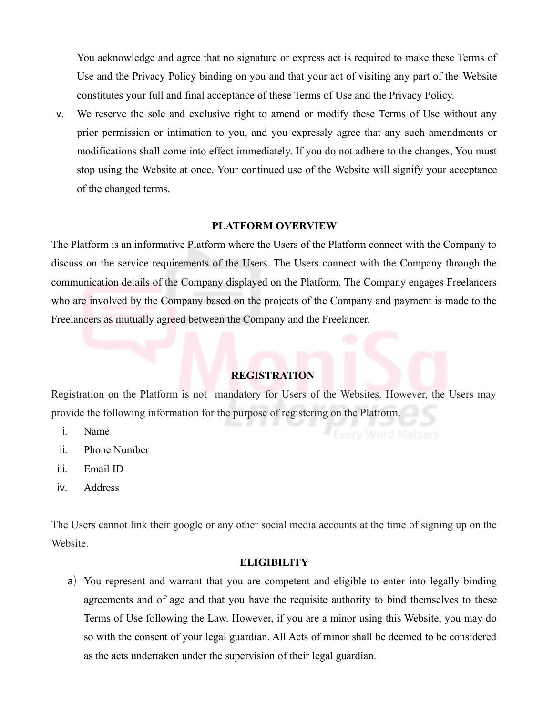You acknowledge and agree that no signature or express act is required to make these Terms of Use and the Privacy Policy binding on you and that your act of visiting any part of the Website constitutes your full and final acceptance of these Terms of Use and the Privacy Policy.

v. We reserve the sole and exclusive right to amend or modify these Terms of Use without any prior permission or intimation to you, and you expressly agree that any such amendments or modifications shall come into effect immediately. If you do not adhere to the changes, You must stop using the Website at once. Your continued use of the Website will signify your acceptance of the changed terms.

### **PLATFORM OVERVIEW**

The Platform is an informative Platform where the Users of the Platform connect with the Company to discuss on the service requirements of the Users. The Users connect with the Company through the communication details of the Company displayed on the Platform. The Company engages Freelancers who are involved by the Company based on the projects of the Company and payment is made to the Freelancers as mutually agreed between the Company and the Freelancer.

### **REGISTRATION**

Registration on the Platform is not mandatory for Users of the Websites. However, the Users may provide the following information for the purpose of registering on the Platform.

- i. Name
- ii. Phone Number
- iii. Email ID
- iv. Address

The Users cannot link their google or any other social media accounts at the time of signing up on the Website.

### **ELIGIBILITY**

a) You represent and warrant that you are competent and eligible to enter into legally binding agreements and of age and that you have the requisite authority to bind themselves to these Terms of Use following the Law. However, if you are a minor using this Website, you may do so with the consent of your legal guardian. All Acts of minor shall be deemed to be considered as the acts undertaken under the supervision of their legal guardian.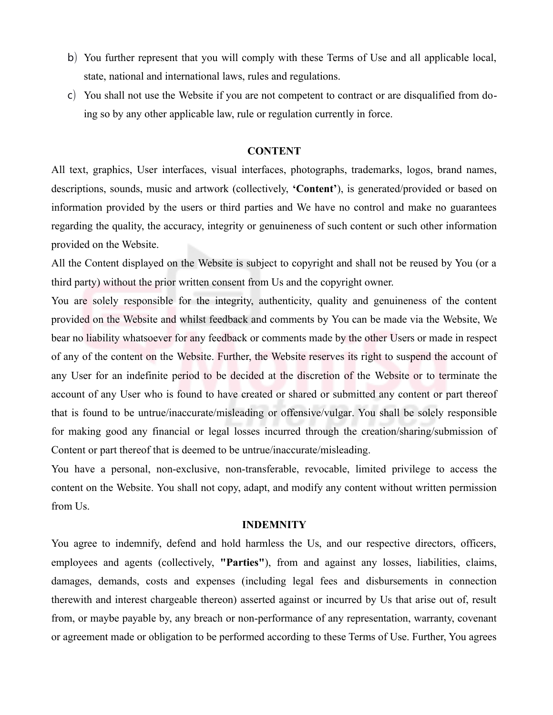- b) You further represent that you will comply with these Terms of Use and all applicable local, state, national and international laws, rules and regulations.
- c) You shall not use the Website if you are not competent to contract or are disqualified from doing so by any other applicable law, rule or regulation currently in force.

## **CONTENT**

All text, graphics, User interfaces, visual interfaces, photographs, trademarks, logos, brand names, descriptions, sounds, music and artwork (collectively, **'Content'**), is generated/provided or based on information provided by the users or third parties and We have no control and make no guarantees regarding the quality, the accuracy, integrity or genuineness of such content or such other information provided on the Website.

All the Content displayed on the Website is subject to copyright and shall not be reused by You (or a third party) without the prior written consent from Us and the copyright owner.

You are solely responsible for the integrity, authenticity, quality and genuineness of the content provided on the Website and whilst feedback and comments by You can be made via the Website, We bear no liability whatsoever for any feedback or comments made by the other Users or made in respect of any of the content on the Website. Further, the Website reserves its right to suspend the account of any User for an indefinite period to be decided at the discretion of the Website or to terminate the account of any User who is found to have created or shared or submitted any content or part thereof that is found to be untrue/inaccurate/misleading or offensive/vulgar. You shall be solely responsible for making good any financial or legal losses incurred through the creation/sharing/submission of Content or part thereof that is deemed to be untrue/inaccurate/misleading.

You have a personal, non-exclusive, non-transferable, revocable, limited privilege to access the content on the Website. You shall not copy, adapt, and modify any content without written permission from Us.

#### **INDEMNITY**

You agree to indemnify, defend and hold harmless the Us, and our respective directors, officers, employees and agents (collectively, **"Parties"**), from and against any losses, liabilities, claims, damages, demands, costs and expenses (including legal fees and disbursements in connection therewith and interest chargeable thereon) asserted against or incurred by Us that arise out of, result from, or maybe payable by, any breach or non-performance of any representation, warranty, covenant or agreement made or obligation to be performed according to these Terms of Use. Further, You agrees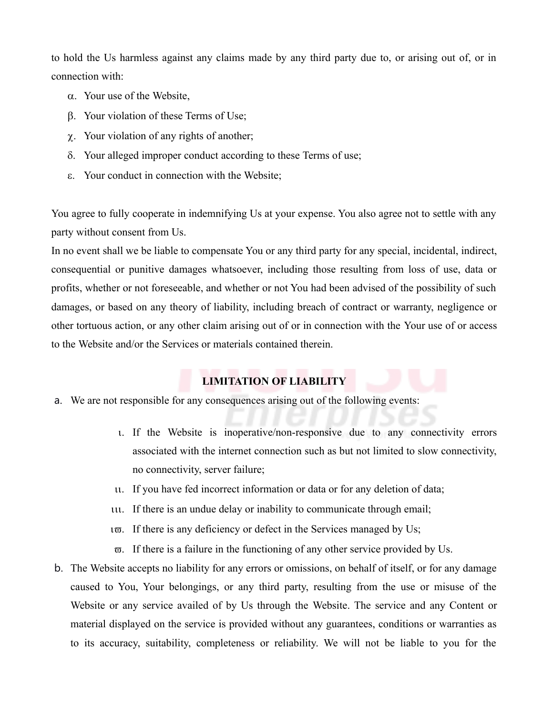to hold the Us harmless against any claims made by any third party due to, or arising out of, or in connection with:

- $\alpha$ . Your use of the Website,
- b. Your violation of these Terms of Use;
- $\chi$ . Your violation of any rights of another;
- $\delta$ . Your alleged improper conduct according to these Terms of use;
- e. Your conduct in connection with the Website;

You agree to fully cooperate in indemnifying Us at your expense. You also agree not to settle with any party without consent from Us.

In no event shall we be liable to compensate You or any third party for any special, incidental, indirect, consequential or punitive damages whatsoever, including those resulting from loss of use, data or profits, whether or not foreseeable, and whether or not You had been advised of the possibility of such damages, or based on any theory of liability, including breach of contract or warranty, negligence or other tortuous action, or any other claim arising out of or in connection with the Your use of or access to the Website and/or the Services or materials contained therein.

# **LIMITATION OF LIABILITY**

- a. We are not responsible for any consequences arising out of the following events:
	- i. If the Website is inoperative/non-responsive due to any connectivity errors associated with the internet connection such as but not limited to slow connectivity, no connectivity, server failure;
	- ii. If you have fed incorrect information or data or for any deletion of data;
	- iu. If there is an undue delay or inability to communicate through email;
	- $i\bar{\varpi}$ . If there is any deficiency or defect in the Services managed by Us;
	- $\overline{\omega}$ . If there is a failure in the functioning of any other service provided by Us.
- b. The Website accepts no liability for any errors or omissions, on behalf of itself, or for any damage caused to You, Your belongings, or any third party, resulting from the use or misuse of the Website or any service availed of by Us through the Website. The service and any Content or material displayed on the service is provided without any guarantees, conditions or warranties as to its accuracy, suitability, completeness or reliability. We will not be liable to you for the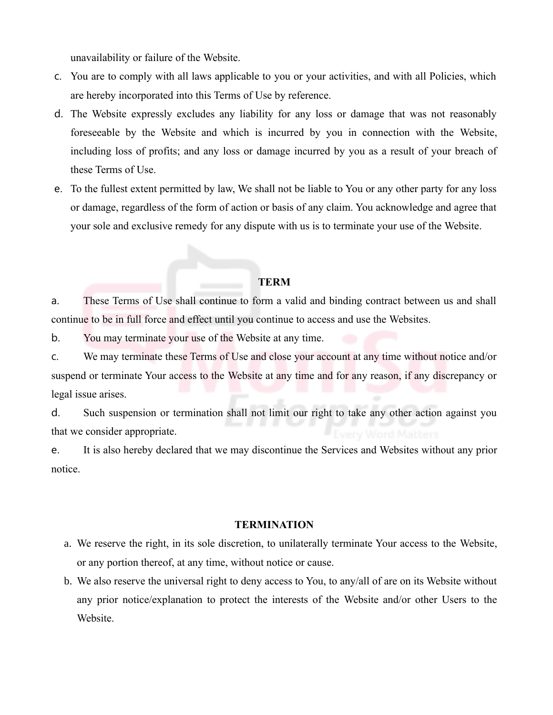unavailability or failure of the Website.

- c. You are to comply with all laws applicable to you or your activities, and with all Policies, which are hereby incorporated into this Terms of Use by reference.
- d. The Website expressly excludes any liability for any loss or damage that was not reasonably foreseeable by the Website and which is incurred by you in connection with the Website, including loss of profits; and any loss or damage incurred by you as a result of your breach of these Terms of Use.
- e. To the fullest extent permitted by law, We shall not be liable to You or any other party for any loss or damage, regardless of the form of action or basis of any claim. You acknowledge and agree that your sole and exclusive remedy for any dispute with us is to terminate your use of the Website.

## **TERM**

a. These Terms of Use shall continue to form a valid and binding contract between us and shall continue to be in full force and effect until you continue to access and use the Websites.

b. You may terminate your use of the Website at any time.

c. We may terminate these Terms of Use and close your account at any time without notice and/or suspend or terminate Your access to the Website at any time and for any reason, if any discrepancy or legal issue arises.

d. Such suspension or termination shall not limit our right to take any other action against you that we consider appropriate.

e. It is also hereby declared that we may discontinue the Services and Websites without any prior notice.

### **TERMINATION**

- a. We reserve the right, in its sole discretion, to unilaterally terminate Your access to the Website, or any portion thereof, at any time, without notice or cause.
- b. We also reserve the universal right to deny access to You, to any/all of are on its Website without any prior notice/explanation to protect the interests of the Website and/or other Users to the Website.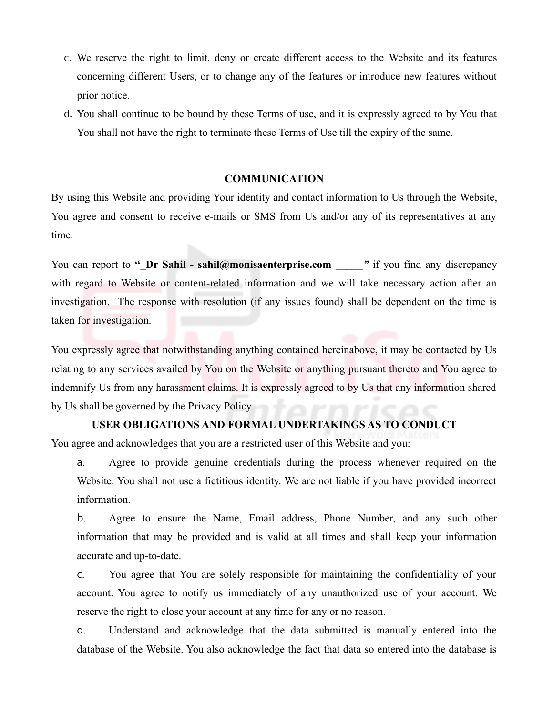- c. We reserve the right to limit, deny or create different access to the Website and its features concerning different Users, or to change any of the features or introduce new features without prior notice.
- d. You shall continue to be bound by these Terms of use, and it is expressly agreed to by You that You shall not have the right to terminate these Terms of Use till the expiry of the same.

### **COMMUNICATION**

By using this Website and providing Your identity and contact information to Us through the Website, You agree and consent to receive e-mails or SMS from Us and/or any of its representatives at any time.

You can report to " Dr Sahil - sahil@monisaenterprise.com <sup>"</sup> if you find any discrepancy with regard to Website or content-related information and we will take necessary action after an investigation. The response with resolution (if any issues found) shall be dependent on the time is taken for investigation.

You expressly agree that notwithstanding anything contained hereinabove, it may be contacted by Us relating to any services availed by You on the Website or anything pursuant thereto and You agree to indemnify Us from any harassment claims. It is expressly agreed to by Us that any information shared by Us shall be governed by the Privacy Policy.

### **USER OBLIGATIONS AND FORMAL UNDERTAKINGS AS TO CONDUCT**

You agree and acknowledges that you are a restricted user of this Website and you:

a. Agree to provide genuine credentials during the process whenever required on the Website. You shall not use a fictitious identity. We are not liable if you have provided incorrect information.

b. Agree to ensure the Name, Email address, Phone Number, and any such other information that may be provided and is valid at all times and shall keep your information accurate and up-to-date.

c. You agree that You are solely responsible for maintaining the confidentiality of your account. You agree to notify us immediately of any unauthorized use of your account. We reserve the right to close your account at any time for any or no reason.

d. Understand and acknowledge that the data submitted is manually entered into the database of the Website. You also acknowledge the fact that data so entered into the database is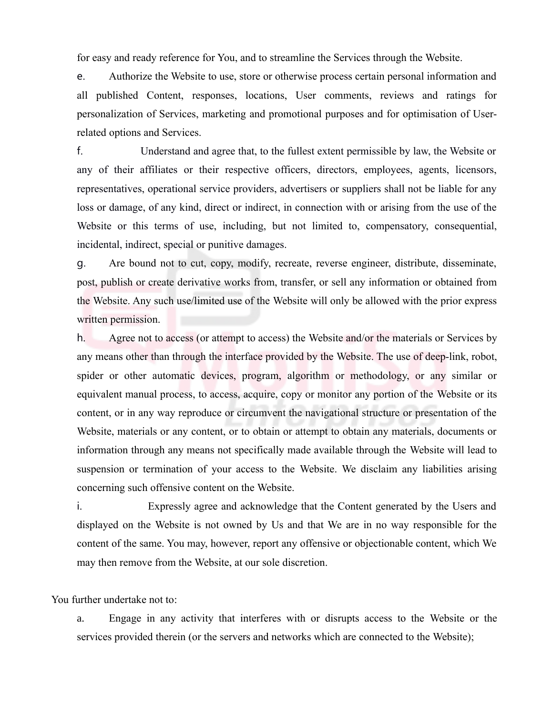for easy and ready reference for You, and to streamline the Services through the Website.

e. Authorize the Website to use, store or otherwise process certain personal information and all published Content, responses, locations, User comments, reviews and ratings for personalization of Services, marketing and promotional purposes and for optimisation of Userrelated options and Services.

f. Understand and agree that, to the fullest extent permissible by law, the Website or any of their affiliates or their respective officers, directors, employees, agents, licensors, representatives, operational service providers, advertisers or suppliers shall not be liable for any loss or damage, of any kind, direct or indirect, in connection with or arising from the use of the Website or this terms of use, including, but not limited to, compensatory, consequential, incidental, indirect, special or punitive damages.

g. Are bound not to cut, copy, modify, recreate, reverse engineer, distribute, disseminate, post, publish or create derivative works from, transfer, or sell any information or obtained from the Website. Any such use/limited use of the Website will only be allowed with the prior express written permission.

h. Agree not to access (or attempt to access) the Website and/or the materials or Services by any means other than through the interface provided by the Website. The use of deep-link, robot, spider or other automatic devices, program, algorithm or methodology, or any similar or equivalent manual process, to access, acquire, copy or monitor any portion of the Website or its content, or in any way reproduce or circumvent the navigational structure or presentation of the Website, materials or any content, or to obtain or attempt to obtain any materials, documents or information through any means not specifically made available through the Website will lead to suspension or termination of your access to the Website. We disclaim any liabilities arising concerning such offensive content on the Website.

i. Expressly agree and acknowledge that the Content generated by the Users and displayed on the Website is not owned by Us and that We are in no way responsible for the content of the same. You may, however, report any offensive or objectionable content, which We may then remove from the Website, at our sole discretion.

You further undertake not to:

a. Engage in any activity that interferes with or disrupts access to the Website or the services provided therein (or the servers and networks which are connected to the Website);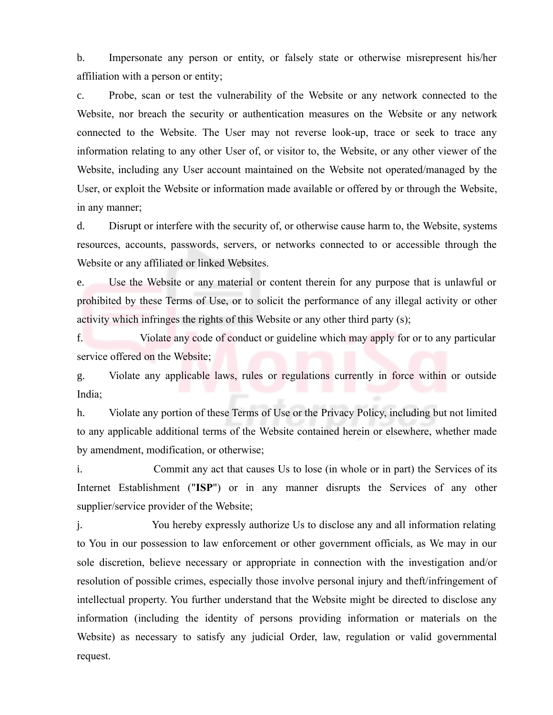b. Impersonate any person or entity, or falsely state or otherwise misrepresent his/her affiliation with a person or entity;

c. Probe, scan or test the vulnerability of the Website or any network connected to the Website, nor breach the security or authentication measures on the Website or any network connected to the Website. The User may not reverse look-up, trace or seek to trace any information relating to any other User of, or visitor to, the Website, or any other viewer of the Website, including any User account maintained on the Website not operated/managed by the User, or exploit the Website or information made available or offered by or through the Website, in any manner;

d. Disrupt or interfere with the security of, or otherwise cause harm to, the Website, systems resources, accounts, passwords, servers, or networks connected to or accessible through the Website or any affiliated or linked Websites.

e. Use the Website or any material or content therein for any purpose that is unlawful or prohibited by these Terms of Use, or to solicit the performance of any illegal activity or other activity which infringes the rights of this Website or any other third party (s);

f. Violate any code of conduct or guideline which may apply for or to any particular service offered on the Website;

g. Violate any applicable laws, rules or regulations currently in force within or outside India;

h. Violate any portion of these Terms of Use or the Privacy Policy, including but not limited to any applicable additional terms of the Website contained herein or elsewhere, whether made by amendment, modification, or otherwise;

i. Commit any act that causes Us to lose (in whole or in part) the Services of its Internet Establishment ("**ISP**") or in any manner disrupts the Services of any other supplier/service provider of the Website;

j. You hereby expressly authorize Us to disclose any and all information relating to You in our possession to law enforcement or other government officials, as We may in our sole discretion, believe necessary or appropriate in connection with the investigation and/or resolution of possible crimes, especially those involve personal injury and theft/infringement of intellectual property. You further understand that the Website might be directed to disclose any information (including the identity of persons providing information or materials on the Website) as necessary to satisfy any judicial Order, law, regulation or valid governmental request.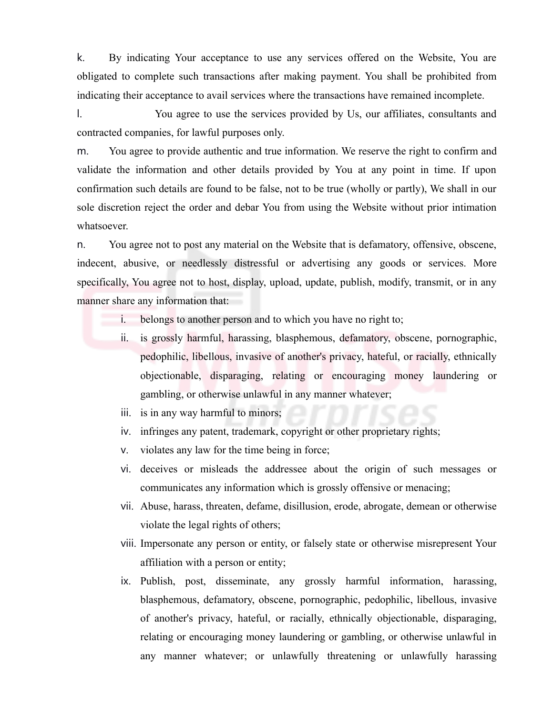k. By indicating Your acceptance to use any services offered on the Website, You are obligated to complete such transactions after making payment. You shall be prohibited from indicating their acceptance to avail services where the transactions have remained incomplete.

l. You agree to use the services provided by Us, our affiliates, consultants and contracted companies, for lawful purposes only.

m. You agree to provide authentic and true information. We reserve the right to confirm and validate the information and other details provided by You at any point in time. If upon confirmation such details are found to be false, not to be true (wholly or partly), We shall in our sole discretion reject the order and debar You from using the Website without prior intimation whatsoever.

n. You agree not to post any material on the Website that is defamatory, offensive, obscene, indecent, abusive, or needlessly distressful or advertising any goods or services. More specifically, You agree not to host, display, upload, update, publish, modify, transmit, or in any manner share any information that:

- i. belongs to another person and to which you have no right to;
- ii. is grossly harmful, harassing, blasphemous, defamatory, obscene, pornographic, pedophilic, libellous, invasive of another's privacy, hateful, or racially, ethnically objectionable, disparaging, relating or encouraging money laundering or gambling, or otherwise unlawful in any manner whatever;
- iii. is in any way harmful to minors;
- iv. infringes any patent, trademark, copyright or other proprietary rights;
- v. violates any law for the time being in force;
- vi. deceives or misleads the addressee about the origin of such messages or communicates any information which is grossly offensive or menacing;
- vii. Abuse, harass, threaten, defame, disillusion, erode, abrogate, demean or otherwise violate the legal rights of others;
- viii. Impersonate any person or entity, or falsely state or otherwise misrepresent Your affiliation with a person or entity;
- ix. Publish, post, disseminate, any grossly harmful information, harassing, blasphemous, defamatory, obscene, pornographic, pedophilic, libellous, invasive of another's privacy, hateful, or racially, ethnically objectionable, disparaging, relating or encouraging money laundering or gambling, or otherwise unlawful in any manner whatever; or unlawfully threatening or unlawfully harassing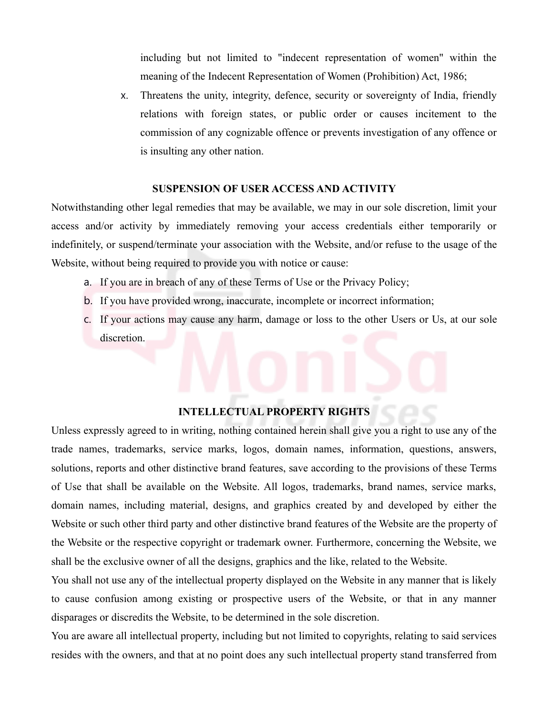including but not limited to "indecent representation of women" within the meaning of the Indecent Representation of Women (Prohibition) Act, 1986;

x. Threatens the unity, integrity, defence, security or sovereignty of India, friendly relations with foreign states, or public order or causes incitement to the commission of any cognizable offence or prevents investigation of any offence or is insulting any other nation.

## **SUSPENSION OF USER ACCESS AND ACTIVITY**

Notwithstanding other legal remedies that may be available, we may in our sole discretion, limit your access and/or activity by immediately removing your access credentials either temporarily or indefinitely, or suspend/terminate your association with the Website, and/or refuse to the usage of the Website, without being required to provide you with notice or cause:

- a. If you are in breach of any of these Terms of Use or the Privacy Policy;
- b. If you have provided wrong, inaccurate, incomplete or incorrect information;
- c. If your actions may cause any harm, damage or loss to the other Users or Us, at our sole discretion.

### **INTELLECTUAL PROPERTY RIGHTS**

Unless expressly agreed to in writing, nothing contained herein shall give you a right to use any of the trade names, trademarks, service marks, logos, domain names, information, questions, answers, solutions, reports and other distinctive brand features, save according to the provisions of these Terms of Use that shall be available on the Website. All logos, trademarks, brand names, service marks, domain names, including material, designs, and graphics created by and developed by either the Website or such other third party and other distinctive brand features of the Website are the property of the Website or the respective copyright or trademark owner. Furthermore, concerning the Website, we shall be the exclusive owner of all the designs, graphics and the like, related to the Website.

You shall not use any of the intellectual property displayed on the Website in any manner that is likely to cause confusion among existing or prospective users of the Website, or that in any manner disparages or discredits the Website, to be determined in the sole discretion.

You are aware all intellectual property, including but not limited to copyrights, relating to said services resides with the owners, and that at no point does any such intellectual property stand transferred from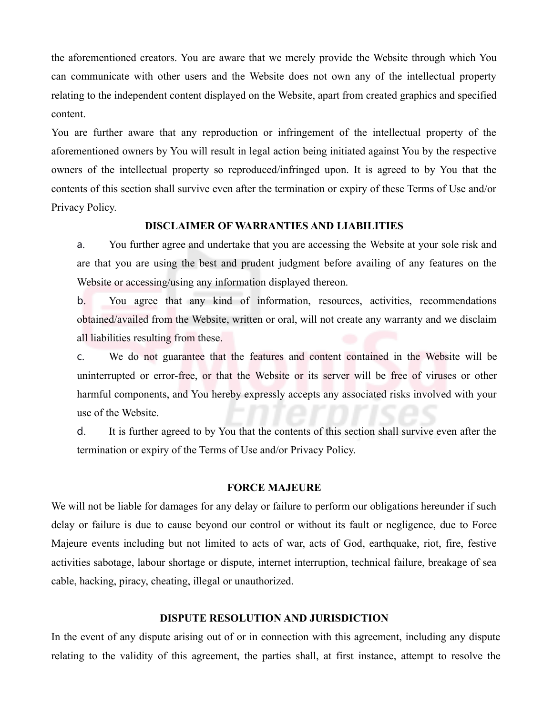the aforementioned creators. You are aware that we merely provide the Website through which You can communicate with other users and the Website does not own any of the intellectual property relating to the independent content displayed on the Website, apart from created graphics and specified content.

You are further aware that any reproduction or infringement of the intellectual property of the aforementioned owners by You will result in legal action being initiated against You by the respective owners of the intellectual property so reproduced/infringed upon. It is agreed to by You that the contents of this section shall survive even after the termination or expiry of these Terms of Use and/or Privacy Policy.

### **DISCLAIMER OF WARRANTIES AND LIABILITIES**

a. You further agree and undertake that you are accessing the Website at your sole risk and are that you are using the best and prudent judgment before availing of any features on the Website or accessing/using any information displayed thereon.

b. You agree that any kind of information, resources, activities, recommendations obtained/availed from the Website, written or oral, will not create any warranty and we disclaim all liabilities resulting from these.

c. We do not guarantee that the features and content contained in the Website will be uninterrupted or error-free, or that the Website or its server will be free of viruses or other harmful components, and You hereby expressly accepts any associated risks involved with your use of the Website.

d. It is further agreed to by You that the contents of this section shall survive even after the termination or expiry of the Terms of Use and/or Privacy Policy.

#### **FORCE MAJEURE**

We will not be liable for damages for any delay or failure to perform our obligations hereunder if such delay or failure is due to cause beyond our control or without its fault or negligence, due to Force Majeure events including but not limited to acts of war, acts of God, earthquake, riot, fire, festive activities sabotage, labour shortage or dispute, internet interruption, technical failure, breakage of sea cable, hacking, piracy, cheating, illegal or unauthorized.

#### **DISPUTE RESOLUTION AND JURISDICTION**

In the event of any dispute arising out of or in connection with this agreement, including any dispute relating to the validity of this agreement, the parties shall, at first instance, attempt to resolve the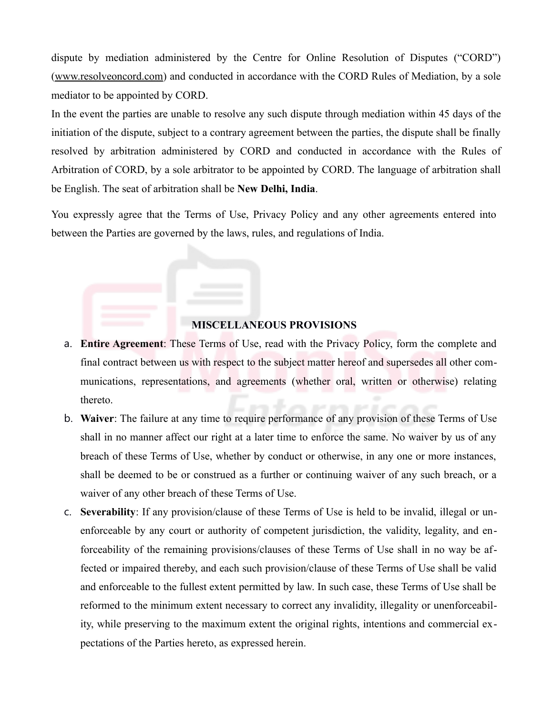dispute by mediation administered by the Centre for Online Resolution of Disputes ("CORD") (www.resolveoncord.com) and conducted in accordance with the CORD Rules of Mediation, by a sole mediator to be appointed by CORD.

In the event the parties are unable to resolve any such dispute through mediation within 45 days of the initiation of the dispute, subject to a contrary agreement between the parties, the dispute shall be finally resolved by arbitration administered by CORD and conducted in accordance with the Rules of Arbitration of CORD, by a sole arbitrator to be appointed by CORD. The language of arbitration shall be English. The seat of arbitration shall be **New Delhi, India**.

You expressly agree that the Terms of Use, Privacy Policy and any other agreements entered into between the Parties are governed by the laws, rules, and regulations of India.

## **MISCELLANEOUS PROVISIONS**

- a. **Entire Agreement**: These Terms of Use, read with the Privacy Policy, form the complete and final contract between us with respect to the subject matter hereof and supersedes all other communications, representations, and agreements (whether oral, written or otherwise) relating thereto.
- b. **Waiver**: The failure at any time to require performance of any provision of these Terms of Use shall in no manner affect our right at a later time to enforce the same. No waiver by us of any breach of these Terms of Use, whether by conduct or otherwise, in any one or more instances, shall be deemed to be or construed as a further or continuing waiver of any such breach, or a waiver of any other breach of these Terms of Use.
- c. **Severability**: If any provision/clause of these Terms of Use is held to be invalid, illegal or unenforceable by any court or authority of competent jurisdiction, the validity, legality, and enforceability of the remaining provisions/clauses of these Terms of Use shall in no way be affected or impaired thereby, and each such provision/clause of these Terms of Use shall be valid and enforceable to the fullest extent permitted by law. In such case, these Terms of Use shall be reformed to the minimum extent necessary to correct any invalidity, illegality or unenforceability, while preserving to the maximum extent the original rights, intentions and commercial expectations of the Parties hereto, as expressed herein.